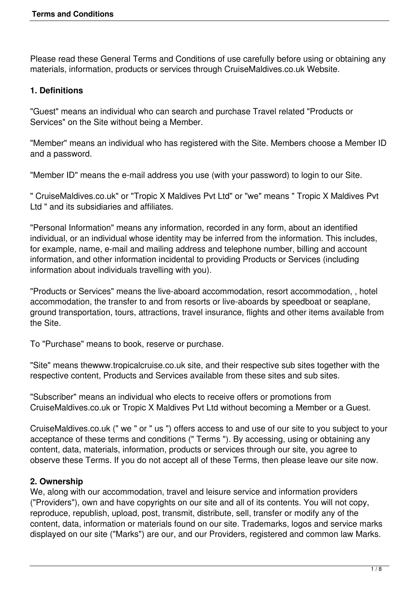Please read these General Terms and Conditions of use carefully before using or obtaining any materials, information, products or services through CruiseMaldives.co.uk Website.

## **1. Definitions**

"Guest" means an individual who can search and purchase Travel related "Products or Services" on the Site without being a Member.

"Member" means an individual who has registered with the Site. Members choose a Member ID and a password.

"Member ID" means the e-mail address you use (with your password) to login to our Site.

" CruiseMaldives.co.uk" or "Tropic X Maldives Pvt Ltd" or "we" means " Tropic X Maldives Pvt Ltd " and its subsidiaries and affiliates.

"Personal Information" means any information, recorded in any form, about an identified individual, or an individual whose identity may be inferred from the information. This includes, for example, name, e-mail and mailing address and telephone number, billing and account information, and other information incidental to providing Products or Services (including information about individuals travelling with you).

"Products or Services" means the live-aboard accommodation, resort accommodation, , hotel accommodation, the transfer to and from resorts or live-aboards by speedboat or seaplane, ground transportation, tours, attractions, travel insurance, flights and other items available from the Site.

To "Purchase" means to book, reserve or purchase.

"Site" means thewww.tropicalcruise.co.uk site, and their respective sub sites together with the respective content, Products and Services available from these sites and sub sites.

"Subscriber" means an individual who elects to receive offers or promotions from CruiseMaldives.co.uk or Tropic X Maldives Pvt Ltd without becoming a Member or a Guest.

CruiseMaldives.co.uk (" we " or " us ") offers access to and use of our site to you subject to your acceptance of these terms and conditions (" Terms "). By accessing, using or obtaining any content, data, materials, information, products or services through our site, you agree to observe these Terms. If you do not accept all of these Terms, then please leave our site now.

## **2. Ownership**

We, along with our accommodation, travel and leisure service and information providers ("Providers"), own and have copyrights on our site and all of its contents. You will not copy, reproduce, republish, upload, post, transmit, distribute, sell, transfer or modify any of the content, data, information or materials found on our site. Trademarks, logos and service marks displayed on our site ("Marks") are our, and our Providers, registered and common law Marks.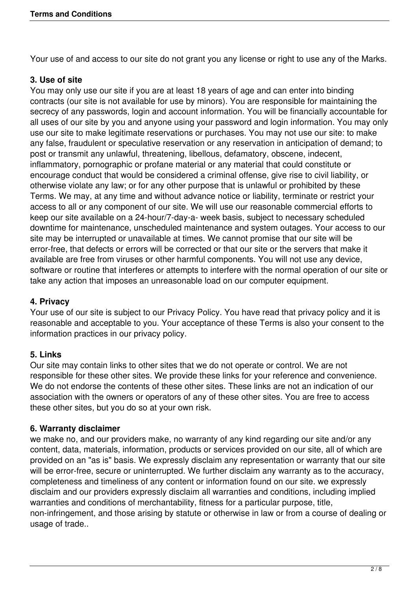Your use of and access to our site do not grant you any license or right to use any of the Marks.

### **3. Use of site**

You may only use our site if you are at least 18 years of age and can enter into binding contracts (our site is not available for use by minors). You are responsible for maintaining the secrecy of any passwords, login and account information. You will be financially accountable for all uses of our site by you and anyone using your password and login information. You may only use our site to make legitimate reservations or purchases. You may not use our site: to make any false, fraudulent or speculative reservation or any reservation in anticipation of demand; to post or transmit any unlawful, threatening, libellous, defamatory, obscene, indecent, inflammatory, pornographic or profane material or any material that could constitute or encourage conduct that would be considered a criminal offense, give rise to civil liability, or otherwise violate any law; or for any other purpose that is unlawful or prohibited by these Terms. We may, at any time and without advance notice or liability, terminate or restrict your access to all or any component of our site. We will use our reasonable commercial efforts to keep our site available on a 24-hour/7-day-a- week basis, subject to necessary scheduled downtime for maintenance, unscheduled maintenance and system outages. Your access to our site may be interrupted or unavailable at times. We cannot promise that our site will be error-free, that defects or errors will be corrected or that our site or the servers that make it available are free from viruses or other harmful components. You will not use any device, software or routine that interferes or attempts to interfere with the normal operation of our site or take any action that imposes an unreasonable load on our computer equipment.

#### **4. Privacy**

Your use of our site is subject to our Privacy Policy. You have read that privacy policy and it is reasonable and acceptable to you. Your acceptance of these Terms is also your consent to the information practices in our privacy policy.

#### **5. Links**

Our site may contain links to other sites that we do not operate or control. We are not responsible for these other sites. We provide these links for your reference and convenience. We do not endorse the contents of these other sites. These links are not an indication of our association with the owners or operators of any of these other sites. You are free to access these other sites, but you do so at your own risk.

#### **6. Warranty disclaimer**

we make no, and our providers make, no warranty of any kind regarding our site and/or any content, data, materials, information, products or services provided on our site, all of which are provided on an "as is" basis. We expressly disclaim any representation or warranty that our site will be error-free, secure or uninterrupted. We further disclaim any warranty as to the accuracy, completeness and timeliness of any content or information found on our site. we expressly disclaim and our providers expressly disclaim all warranties and conditions, including implied warranties and conditions of merchantability, fitness for a particular purpose, title, non-infringement, and those arising by statute or otherwise in law or from a course of dealing or usage of trade..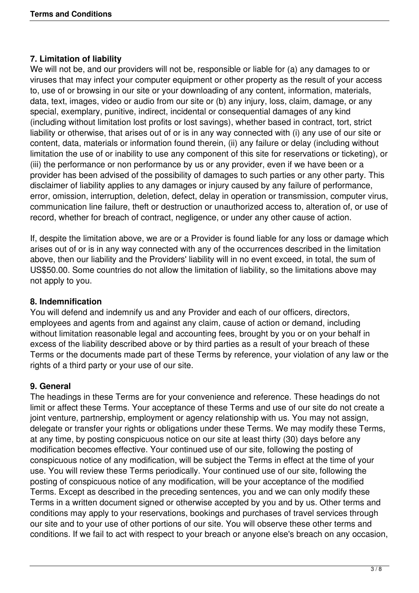#### **7. Limitation of liability**

We will not be, and our providers will not be, responsible or liable for (a) any damages to or viruses that may infect your computer equipment or other property as the result of your access to, use of or browsing in our site or your downloading of any content, information, materials, data, text, images, video or audio from our site or (b) any injury, loss, claim, damage, or any special, exemplary, punitive, indirect, incidental or consequential damages of any kind (including without limitation lost profits or lost savings), whether based in contract, tort, strict liability or otherwise, that arises out of or is in any way connected with (i) any use of our site or content, data, materials or information found therein, (ii) any failure or delay (including without limitation the use of or inability to use any component of this site for reservations or ticketing), or (iii) the performance or non performance by us or any provider, even if we have been or a provider has been advised of the possibility of damages to such parties or any other party. This disclaimer of liability applies to any damages or injury caused by any failure of performance, error, omission, interruption, deletion, defect, delay in operation or transmission, computer virus, communication line failure, theft or destruction or unauthorized access to, alteration of, or use of record, whether for breach of contract, negligence, or under any other cause of action.

If, despite the limitation above, we are or a Provider is found liable for any loss or damage which arises out of or is in any way connected with any of the occurrences described in the limitation above, then our liability and the Providers' liability will in no event exceed, in total, the sum of US\$50.00. Some countries do not allow the limitation of liability, so the limitations above may not apply to you.

#### **8. Indemnification**

You will defend and indemnify us and any Provider and each of our officers, directors, employees and agents from and against any claim, cause of action or demand, including without limitation reasonable legal and accounting fees, brought by you or on your behalf in excess of the liability described above or by third parties as a result of your breach of these Terms or the documents made part of these Terms by reference, your violation of any law or the rights of a third party or your use of our site.

#### **9. General**

The headings in these Terms are for your convenience and reference. These headings do not limit or affect these Terms. Your acceptance of these Terms and use of our site do not create a joint venture, partnership, employment or agency relationship with us. You may not assign, delegate or transfer your rights or obligations under these Terms. We may modify these Terms, at any time, by posting conspicuous notice on our site at least thirty (30) days before any modification becomes effective. Your continued use of our site, following the posting of conspicuous notice of any modification, will be subject the Terms in effect at the time of your use. You will review these Terms periodically. Your continued use of our site, following the posting of conspicuous notice of any modification, will be your acceptance of the modified Terms. Except as described in the preceding sentences, you and we can only modify these Terms in a written document signed or otherwise accepted by you and by us. Other terms and conditions may apply to your reservations, bookings and purchases of travel services through our site and to your use of other portions of our site. You will observe these other terms and conditions. If we fail to act with respect to your breach or anyone else's breach on any occasion,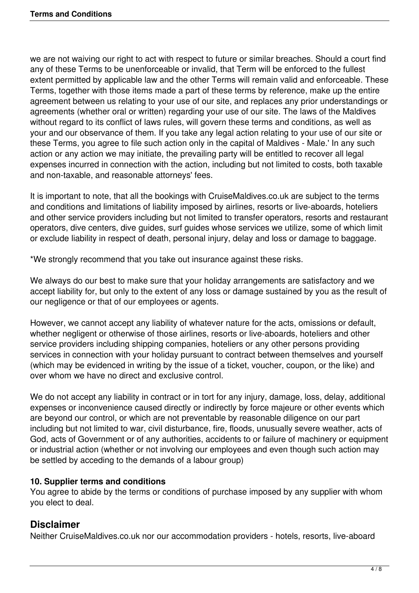we are not waiving our right to act with respect to future or similar breaches. Should a court find any of these Terms to be unenforceable or invalid, that Term will be enforced to the fullest extent permitted by applicable law and the other Terms will remain valid and enforceable. These Terms, together with those items made a part of these terms by reference, make up the entire agreement between us relating to your use of our site, and replaces any prior understandings or agreements (whether oral or written) regarding your use of our site. The laws of the Maldives without regard to its conflict of laws rules, will govern these terms and conditions, as well as your and our observance of them. If you take any legal action relating to your use of our site or these Terms, you agree to file such action only in the capital of Maldives - Male.' In any such action or any action we may initiate, the prevailing party will be entitled to recover all legal expenses incurred in connection with the action, including but not limited to costs, both taxable and non-taxable, and reasonable attorneys' fees.

It is important to note, that all the bookings with CruiseMaldives.co.uk are subject to the terms and conditions and limitations of liability imposed by airlines, resorts or live-aboards, hoteliers and other service providers including but not limited to transfer operators, resorts and restaurant operators, dive centers, dive guides, surf guides whose services we utilize, some of which limit or exclude liability in respect of death, personal injury, delay and loss or damage to baggage.

\*We strongly recommend that you take out insurance against these risks.

We always do our best to make sure that your holiday arrangements are satisfactory and we accept liability for, but only to the extent of any loss or damage sustained by you as the result of our negligence or that of our employees or agents.

However, we cannot accept any liability of whatever nature for the acts, omissions or default, whether negligent or otherwise of those airlines, resorts or live-aboards, hoteliers and other service providers including shipping companies, hoteliers or any other persons providing services in connection with your holiday pursuant to contract between themselves and yourself (which may be evidenced in writing by the issue of a ticket, voucher, coupon, or the like) and over whom we have no direct and exclusive control.

We do not accept any liability in contract or in tort for any injury, damage, loss, delay, additional expenses or inconvenience caused directly or indirectly by force majeure or other events which are beyond our control, or which are not preventable by reasonable diligence on our part including but not limited to war, civil disturbance, fire, floods, unusually severe weather, acts of God, acts of Government or of any authorities, accidents to or failure of machinery or equipment or industrial action (whether or not involving our employees and even though such action may be settled by acceding to the demands of a labour group)

#### **10. Supplier terms and conditions**

You agree to abide by the terms or conditions of purchase imposed by any supplier with whom you elect to deal.

## **Disclaimer**

Neither CruiseMaldives.co.uk nor our accommodation providers - hotels, resorts, live-aboard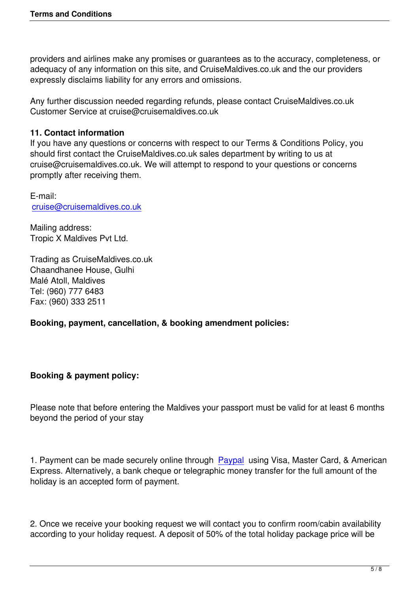providers and airlines make any promises or guarantees as to the accuracy, completeness, or adequacy of any information on this site, and CruiseMaldives.co.uk and the our providers expressly disclaims liability for any errors and omissions.

Any further discussion needed regarding refunds, please contact CruiseMaldives.co.uk Customer Service at cruise@cruisemaldives.co.uk

## **11. Contact information**

If you have any questions or concerns with respect to our Terms & Conditions Policy, you should first contact the CruiseMaldives.co.uk sales department by writing to us at cruise@cruisemaldives.co.uk. We will attempt to respond to your questions or concerns promptly after receiving them.

E-mail: cruise@cruisemaldives.co.uk

Mailing address: [Tropic X Maldives Pvt Ltd.](mailto:cruise@cruisemaldives.co.uk)

Trading as CruiseMaldives.co.uk Chaandhanee House, Gulhi Malé Atoll, Maldives Tel: (960) 777 6483 Fax: (960) 333 2511

**Booking, payment, cancellation, & booking amendment policies:**

## **Booking & payment policy:**

Please note that before entering the Maldives your passport must be valid for at least 6 months beyond the period of your stay

1. Payment can be made securely online through Paypal using Visa, Master Card, & American Express. Alternatively, a bank cheque or telegraphic money transfer for the full amount of the holiday is an accepted form of payment.

2. Once we receive your booking request we will contact you to confirm room/cabin availability according to your holiday request. A deposit of 50% of the total holiday package price will be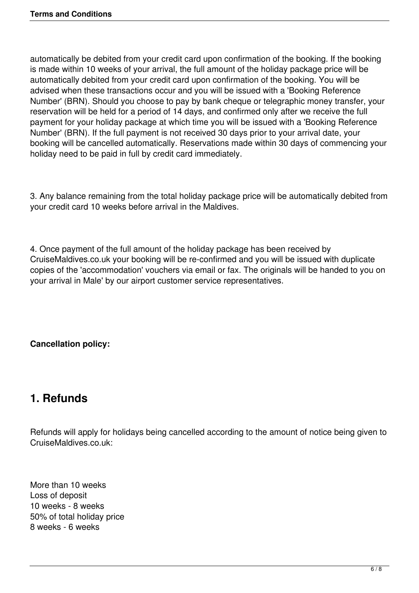automatically be debited from your credit card upon confirmation of the booking. If the booking is made within 10 weeks of your arrival, the full amount of the holiday package price will be automatically debited from your credit card upon confirmation of the booking. You will be advised when these transactions occur and you will be issued with a 'Booking Reference Number' (BRN). Should you choose to pay by bank cheque or telegraphic money transfer, your reservation will be held for a period of 14 days, and confirmed only after we receive the full payment for your holiday package at which time you will be issued with a 'Booking Reference Number' (BRN). If the full payment is not received 30 days prior to your arrival date, your booking will be cancelled automatically. Reservations made within 30 days of commencing your holiday need to be paid in full by credit card immediately.

3. Any balance remaining from the total holiday package price will be automatically debited from your credit card 10 weeks before arrival in the Maldives.

4. Once payment of the full amount of the holiday package has been received by CruiseMaldives.co.uk your booking will be re-confirmed and you will be issued with duplicate copies of the 'accommodation' vouchers via email or fax. The originals will be handed to you on your arrival in Male' by our airport customer service representatives.

**Cancellation policy:**

## **1. Refunds**

Refunds will apply for holidays being cancelled according to the amount of notice being given to CruiseMaldives.co.uk:

More than 10 weeks Loss of deposit 10 weeks - 8 weeks 50% of total holiday price 8 weeks - 6 weeks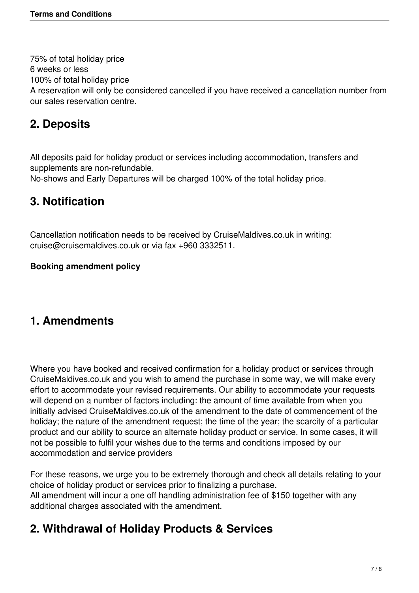75% of total holiday price 6 weeks or less 100% of total holiday price A reservation will only be considered cancelled if you have received a cancellation number from our sales reservation centre.

# **2. Deposits**

All deposits paid for holiday product or services including accommodation, transfers and supplements are non-refundable.

No-shows and Early Departures will be charged 100% of the total holiday price.

## **3. Notification**

Cancellation notification needs to be received by CruiseMaldives.co.uk in writing: cruise@cruisemaldives.co.uk or via fax +960 3332511.

### **Booking amendment policy**

## **1. Amendments**

Where you have booked and received confirmation for a holiday product or services through CruiseMaldives.co.uk and you wish to amend the purchase in some way, we will make every effort to accommodate your revised requirements. Our ability to accommodate your requests will depend on a number of factors including: the amount of time available from when you initially advised CruiseMaldives.co.uk of the amendment to the date of commencement of the holiday; the nature of the amendment request; the time of the year; the scarcity of a particular product and our ability to source an alternate holiday product or service. In some cases, it will not be possible to fulfil your wishes due to the terms and conditions imposed by our accommodation and service providers

For these reasons, we urge you to be extremely thorough and check all details relating to your choice of holiday product or services prior to finalizing a purchase. All amendment will incur a one off handling administration fee of \$150 together with any additional charges associated with the amendment.

# **2. Withdrawal of Holiday Products & Services**